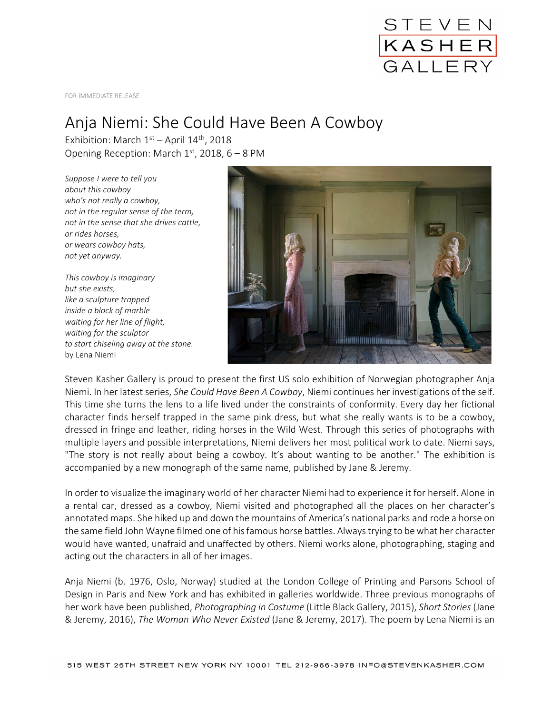

FOR IMMEDIATE RELEASE

## Anja Niemi: She Could Have Been A Cowboy

Exhibition: March  $1<sup>st</sup>$  – April  $14<sup>th</sup>$ , 2018 Opening Reception: March  $1<sup>st</sup>$ , 2018, 6 – 8 PM

*Suppose I were to tell you about this cowboy who's not really a cowboy, not in the regular sense of the term, not in the sense that she drives cattle, or rides horses, or wears cowboy hats, not yet anyway.*

*This cowboy is imaginary but she exists, like a sculpture trapped inside a block of marble waiting for her line of flight, waiting for the sculptor to start chiseling away at the stone.* by Lena Niemi



Steven Kasher Gallery is proud to present the first US solo exhibition of Norwegian photographer Anja Niemi. In her latest series, *She Could Have Been A Cowboy*, Niemi continues her investigations of the self. This time she turns the lens to a life lived under the constraints of conformity. Every day her fictional character finds herself trapped in the same pink dress, but what she really wants is to be a cowboy, dressed in fringe and leather, riding horses in the Wild West. Through this series of photographs with multiple layers and possible interpretations, Niemi delivers her most political work to date. Niemi says, "The story is not really about being a cowboy. It's about wanting to be another." The exhibition is accompanied by a new monograph of the same name, published by Jane & Jeremy.

In order to visualize the imaginary world of her character Niemi had to experience it for herself. Alone in a rental car, dressed as a cowboy, Niemi visited and photographed all the places on her character's annotated maps. She hiked up and down the mountains of America's national parks and rode a horse on the same field John Wayne filmed one of his famous horse battles. Always trying to be what her character would have wanted, unafraid and unaffected by others. Niemi works alone, photographing, staging and acting out the characters in all of her images.

Anja Niemi (b. 1976, Oslo, Norway) studied at the London College of Printing and Parsons School of Design in Paris and New York and has exhibited in galleries worldwide. Three previous monographs of her work have been published, *Photographing in Costume* (Little Black Gallery, 2015), *Short Stories* (Jane & Jeremy, 2016), *The Woman Who Never Existed* (Jane & Jeremy, 2017). The poem by Lena Niemi is an